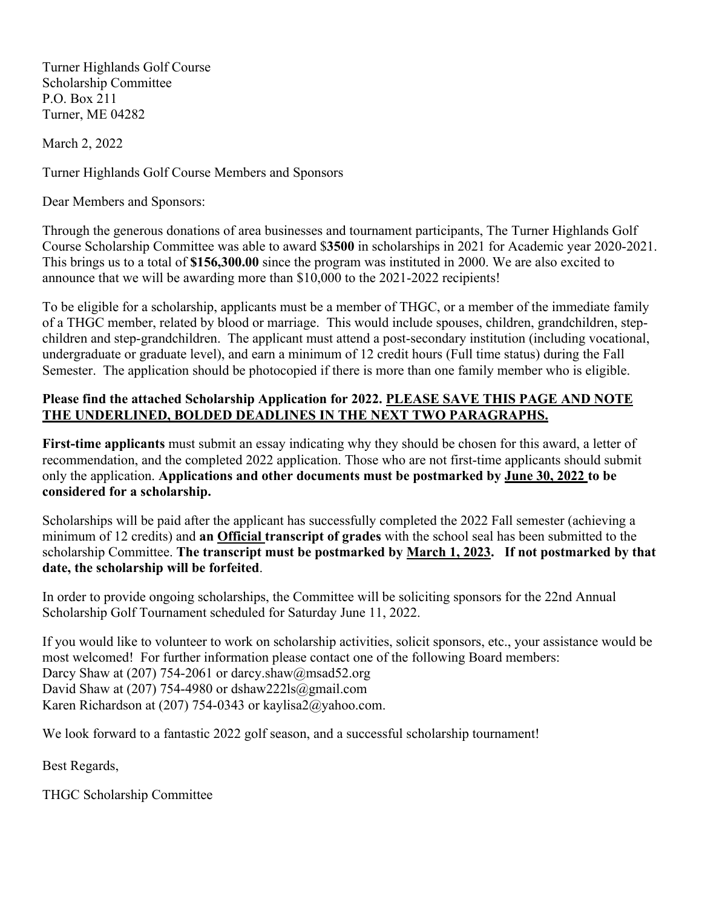Turner Highlands Golf Course Scholarship Committee P.O. Box 211 Turner, ME 04282

March 2, 2022

Turner Highlands Golf Course Members and Sponsors

Dear Members and Sponsors:

Through the generous donations of area businesses and tournament participants, The Turner Highlands Golf Course Scholarship Committee was able to award \$**3500** in scholarships in 2021 for Academic year 2020-2021. This brings us to a total of **\$156,300.00** since the program was instituted in 2000. We are also excited to announce that we will be awarding more than \$10,000 to the 2021-2022 recipients!

To be eligible for a scholarship, applicants must be a member of THGC, or a member of the immediate family of a THGC member, related by blood or marriage. This would include spouses, children, grandchildren, stepchildren and step-grandchildren. The applicant must attend a post-secondary institution (including vocational, undergraduate or graduate level), and earn a minimum of 12 credit hours (Full time status) during the Fall Semester. The application should be photocopied if there is more than one family member who is eligible.

## **Please find the attached Scholarship Application for 2022. PLEASE SAVE THIS PAGE AND NOTE THE UNDERLINED, BOLDED DEADLINES IN THE NEXT TWO PARAGRAPHS.**

**First-time applicants** must submit an essay indicating why they should be chosen for this award, a letter of recommendation, and the completed 2022 application. Those who are not first-time applicants should submit only the application. **Applications and other documents must be postmarked by June 30, 2022 to be considered for a scholarship.**

Scholarships will be paid after the applicant has successfully completed the 2022 Fall semester (achieving a minimum of 12 credits) and **an Official transcript of grades** with the school seal has been submitted to the scholarship Committee. **The transcript must be postmarked by March 1, 2023. If not postmarked by that date, the scholarship will be forfeited**.

In order to provide ongoing scholarships, the Committee will be soliciting sponsors for the 22nd Annual Scholarship Golf Tournament scheduled for Saturday June 11, 2022.

If you would like to volunteer to work on scholarship activities, solicit sponsors, etc., your assistance would be most welcomed! For further information please contact one of the following Board members: Darcy Shaw at (207) 754-2061 or darcy.shaw@msad52.org David Shaw at  $(207)$  754-4980 or dshaw222ls@gmail.com Karen Richardson at (207) 754-0343 or kaylisa2@yahoo.com.

We look forward to a fantastic 2022 golf season, and a successful scholarship tournament!

Best Regards,

THGC Scholarship Committee